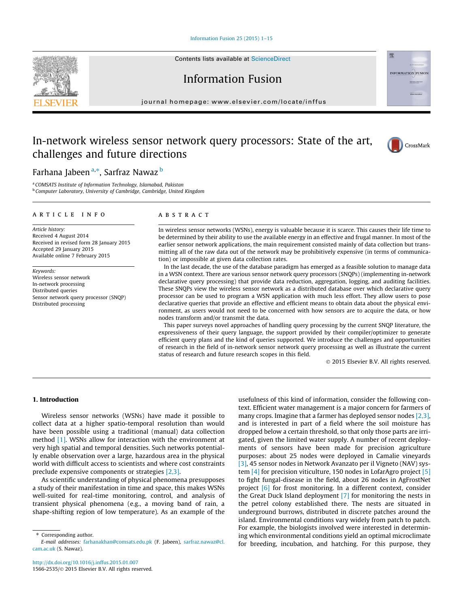#### [Information Fusion 25 \(2015\) 1–15](http://dx.doi.org/10.1016/j.inffus.2015.01.007)

Contents lists available at [ScienceDirect](http://www.sciencedirect.com/science/journal/15662535)

Information Fusion

journal homepage: [www.elsevier.com/locate/inffus](http://www.elsevier.com/locate/inffus)

## In-network wireless sensor network query processors: State of the art, challenges and future directions



INFORMATION FUSION

用

### Farhana Jabeen <sup>a,</sup>\*, Sarfraz Nawaz <sup>b</sup>

<sup>a</sup> COMSATS Institute of Information Technology, Islamabad, Pakistan **b** Computer Laboratory, University of Cambridge, Cambridge, United Kingdom

#### article info

Article history: Received 4 August 2014 Received in revised form 28 January 2015 Accepted 29 January 2015 Available online 7 February 2015

Keywords: Wireless sensor network In-network processing Distributed queries Sensor network query processor (SNQP) Distributed processing

#### **ABSTRACT**

In wireless sensor networks (WSNs), energy is valuable because it is scarce. This causes their life time to be determined by their ability to use the available energy in an effective and frugal manner. In most of the earlier sensor network applications, the main requirement consisted mainly of data collection but transmitting all of the raw data out of the network may be prohibitively expensive (in terms of communication) or impossible at given data collection rates.

In the last decade, the use of the database paradigm has emerged as a feasible solution to manage data in a WSN context. There are various sensor network query processors (SNQPs) (implementing in-network declarative query processing) that provide data reduction, aggregation, logging, and auditing facilities. These SNQPs view the wireless sensor network as a distributed database over which declarative query processor can be used to program a WSN application with much less effort. They allow users to pose declarative queries that provide an effective and efficient means to obtain data about the physical environment, as users would not need to be concerned with how sensors are to acquire the data, or how nodes transform and/or transmit the data.

This paper surveys novel approaches of handling query processing by the current SNQP literature, the expressiveness of their query language, the support provided by their compiler/optimizer to generate efficient query plans and the kind of queries supported. We introduce the challenges and opportunities of research in the field of in-network sensor network query processing as well as illustrate the current status of research and future research scopes in this field.

- 2015 Elsevier B.V. All rights reserved.

#### 1. Introduction

Wireless sensor networks (WSNs) have made it possible to collect data at a higher spatio-temporal resolution than would have been possible using a traditional (manual) data collection method [\[1\].](#page--1-0) WSNs allow for interaction with the environment at very high spatial and temporal densities. Such networks potentially enable observation over a large, hazardous area in the physical world with difficult access to scientists and where cost constraints preclude expensive components or strategies [\[2,3\]](#page--1-0).

As scientific understanding of physical phenomena presupposes a study of their manifestation in time and space, this makes WSNs well-suited for real-time monitoring, control, and analysis of transient physical phenomena (e.g., a moving band of rain, a shape-shifting region of low temperature). As an example of the

\* Corresponding author. E-mail addresses: [farhanakhan@comsats.edu.pk](mailto:farhanakhan@comsats.edu.pk) (F. Jabeen), [sarfraz.nawaz@cl.](mailto:sarfraz.nawaz@cl.cam.ac.uk) [cam.ac.uk](mailto:sarfraz.nawaz@cl.cam.ac.uk) (S. Nawaz).

usefulness of this kind of information, consider the following context. Efficient water management is a major concern for farmers of many crops. Imagine that a farmer has deployed sensor nodes [\[2,3\],](#page--1-0) and is interested in part of a field where the soil moisture has dropped below a certain threshold, so that only those parts are irrigated, given the limited water supply. A number of recent deployments of sensors have been made for precision agriculture purposes: about 25 nodes were deployed in Camalie vineyards [\[3\]](#page--1-0), 45 sensor nodes in Network Avanzato per il Vigneto (NAV) system [\[4\]](#page--1-0) for precision viticulture, 150 nodes in LofarAgro project [\[5\]](#page--1-0) to fight fungal-disease in the field, about 26 nodes in AgFrostNet project [\[6\]](#page--1-0) for frost monitoring. In a different context, consider the Great Duck Island deployment [\[7\]](#page--1-0) for monitoring the nests in the petrel colony established there. The nests are situated in underground burrows, distributed in discrete patches around the island. Environmental conditions vary widely from patch to patch. For example, the biologists involved were interested in determining which environmental conditions yield an optimal microclimate for breeding, incubation, and hatching. For this purpose, they

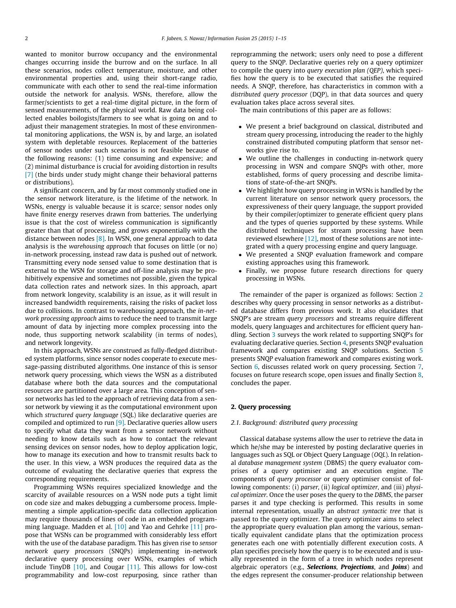wanted to monitor burrow occupancy and the environmental changes occurring inside the burrow and on the surface. In all these scenarios, nodes collect temperature, moisture, and other environmental properties and, using their short-range radio, communicate with each other to send the real-time information outside the network for analysis. WSNs, therefore, allow the farmer/scientists to get a real-time digital picture, in the form of sensed measurements, of the physical world. Raw data being collected enables boilogists/farmers to see what is going on and to adjust their management strategies. In most of these environmental monitoring applications, the WSN is, by and large, an isolated system with depletable resources. Replacement of the batteries of sensor nodes under such scenarios is not feasible because of the following reasons: (1) time consuming and expensive; and (2) minimal disturbance is crucial for avoiding distortion in results [\[7\]](#page--1-0) (the birds under study might change their behavioral patterns or distributions).

A significant concern, and by far most commonly studied one in the sensor network literature, is the lifetime of the network. In WSNs, energy is valuable because it is scarce; sensor nodes only have finite energy reserves drawn from batteries. The underlying issue is that the cost of wireless communication is significantly greater than that of processing, and grows exponentially with the distance between nodes  $[8]$ . In WSN, one general approach to data analysis is the warehousing approach that focuses on little (or no) in-network processing, instead raw data is pushed out of network. Transmitting every node sensed value to some destination that is external to the WSN for storage and off-line analysis may be prohibitively expensive and sometimes not possible, given the typical data collection rates and network sizes. In this approach, apart from network longevity, scalability is an issue, as it will result in increased bandwidth requirements, raising the risks of packet loss due to collisions. In contrast to warehousing approach, the in-network processing approach aims to reduce the need to transmit large amount of data by injecting more complex processing into the node, thus supporting network scalability (in terms of nodes), and network longevity.

In this approach, WSNs are construed as fully-fledged distributed system platforms, since sensor nodes cooperate to execute message-passing distributed algorithms. One instance of this is sensor network query processing, which views the WSN as a distributed database where both the data sources and the computational resources are partitioned over a large area. This conception of sensor networks has led to the approach of retrieving data from a sensor network by viewing it as the computational environment upon which structured query language (SQL) like declarative queries are compiled and optimized to run  $[9]$ . Declarative queries allow users to specify what data they want from a sensor network without needing to know details such as how to contact the relevant sensing devices on sensor nodes, how to deploy application logic, how to manage its execution and how to transmit results back to the user. In this view, a WSN produces the required data as the outcome of evaluating the declarative queries that express the corresponding requirements.

Programming WSNs requires specialized knowledge and the scarcity of available resources on a WSN node puts a tight limit on code size and makes debugging a cumbersome process. Implementing a simple application-specific data collection application may require thousands of lines of code in an embedded programming language. Madden et al. [\[10\]](#page--1-0) and Yao and Gehrke [\[11\]](#page--1-0) propose that WSNs can be programmed with considerably less effort with the use of the database paradigm. This has given rise to sensor network query processors (SNQPs) implementing in-network declarative query processing over WSNs, examples of which include TinyDB [\[10\],](#page--1-0) and Cougar [\[11\].](#page--1-0) This allows for low-cost programmability and low-cost repurposing, since rather than reprogramming the network; users only need to pose a different query to the SNQP. Declarative queries rely on a query optimizer to compile the query into query execution plan (QEP), which specifies how the query is to be executed that satisfies the required needs. A SNQP, therefore, has characteristics in common with a distributed query processor (DQP), in that data sources and query evaluation takes place across several sites.

The main contributions of this paper are as follows:

- We present a brief background on classical, distributed and stream query processing, introducing the reader to the highly constrained distributed computing platform that sensor networks give rise to.
- We outline the challenges in conducting in-network query processing in WSN and compare SNQPs with other, more established, forms of query processing and describe limitations of state-of-the-art SNQPs.
- We highlight how query processing in WSNs is handled by the current literature on sensor network query processors, the expressiveness of their query language, the support provided by their compiler/optimizer to generate efficient query plans and the types of queries supported by these systems. While distributed techniques for stream processing have been reviewed elsewhere [\[12\]](#page--1-0), most of these solutions are not integrated with a query processing engine and query language.
- We presented a SNQP evaluation framework and compare existing approaches using this framework.
- Finally, we propose future research directions for query processing in WSNs.

The remainder of the paper is organized as follows: Section 2 describes why query processing in sensor networks as a distributed database differs from previous work. It also elucidates that SNQP's are stream query processors and streams require different models, query languages and architectures for efficient query handling. Section [3](#page--1-0) surveys the work related to supporting SNQP's for evaluating declarative queries. Section [4,](#page--1-0) presents SNQP evaluation framework and compares existing SNQP solutions. Section [5](#page--1-0) presents SNQP evaluation framework and compares existing work. Section [6](#page--1-0), discusses related work on query processing. Section [7,](#page--1-0) focuses on future research scope, open issues and finally Section [8,](#page--1-0) concludes the paper.

#### 2. Query processing

#### 2.1. Background: distributed query processing

Classical database systems allow the user to retrieve the data in which he/she may be interested by posting declarative queries in languages such as SQL or Object Query Language (OQL). In relational database management system (DBMS) the query evaluator comprises of a query optimiser and an execution engine. The components of query processor or query optimiser consist of following components: (i) parser, (ii) logical optimizer, and (iii) physical optimizer. Once the user poses the query to the DBMS, the parser parses it and type checking is performed. This results in some internal representation, usually an abstract syntactic tree that is passed to the query optimizer. The query optimizer aims to select the appropriate query evaluation plan among the various, semantically equivalent candidate plans that the optimization process generates each one with potentially different execution costs. A plan specifies precisely how the query is to be executed and is usually represented in the form of a tree in which nodes represent algebraic operators (e.g., **Selections, Projections**, and **Joins**) and the edges represent the consumer-producer relationship between